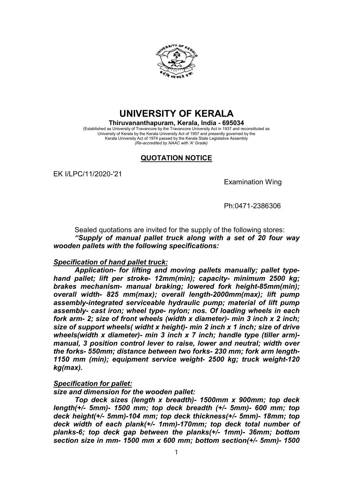

# UNIVERSITY OF KERALA

Thiruvananthapuram, Kerala, India - 695034 (Established as University of Travancore by the Travancore University Act in 1937 and reconstituted as University of Kerala by the Kerala University Act of 1957 and presently governed by the Kerala University Act of 1974 passed by the Kerala State Legislative Assembly (Re-accredited by NAAC with 'A' Grade)

## QUOTATION NOTICE

EK I/LPC/11/2020-'21

Examination Wing

Ph:0471-2386306

Sealed quotations are invited for the supply of the following stores: "Supply of manual pallet truck along with a set of 20 four way wooden pallets with the following specifications:

### Specification of hand pallet truck:

Application- for lifting and moving pallets manually; pallet typehand pallet; lift per stroke- 12mm(min); capacity- minimum 2500 kg; brakes mechanism- manual braking; lowered fork height-85mm(min); overall width- 825 mm(max); overall length-2000mm(max); lift pump assembly-integrated serviceable hydraulic pump; material of lift pump assembly- cast iron; wheel type- nylon; nos. Of loading wheels in each fork arm- 2; size of front wheels (width x diameter)- min 3 inch x 2 inch; size of support wheels( widht x height)- min 2 inch x 1 inch; size of drive wheels(width x diameter)- min 3 inch x 7 inch; handle type (tiller arm)manual, 3 position control lever to raise, lower and neutral; width over the forks- 550mm; distance between two forks- 230 mm; fork arm length-1150 mm (min); equipment service weight- 2500 kg; truck weight-120 kg(max).

### Specification for pallet:

size and dimension for the wooden pallet:

Top deck sizes (length x breadth)- 1500mm x 900mm; top deck length(+/- 5mm)- 1500 mm; top deck breadth (+/- 5mm)- 600 mm; top deck height(+/- 5mm)-104 mm; top deck thickness(+/- 5mm)- 18mm; top deck width of each plank(+/- 1mm)-170mm; top deck total number of planks-6; top deck gap between the planks(+/- 1mm)- 36mm; bottom section size in mm- 1500 mm x 600 mm; bottom section(+/- 5mm)- 1500